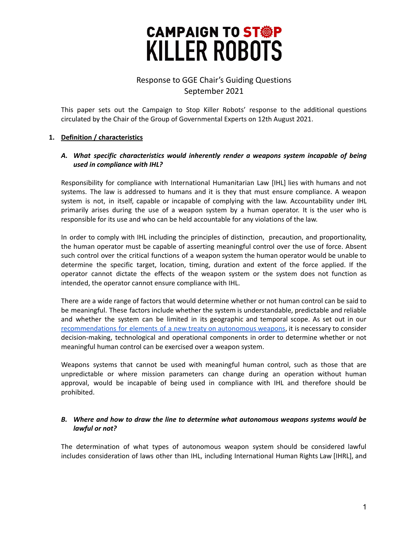# **CAMPAIGN TO ST®P KILLER ROBOTS**

# Response to GGE Chair's Guiding Questions September 2021

This paper sets out the Campaign to Stop Killer Robots' response to the additional questions circulated by the Chair of the Group of Governmental Experts on 12th August 2021.

# **1. Definition / characteristics**

#### *A. What specific characteristics would inherently render a weapons system incapable of being used in compliance with IHL?*

Responsibility for compliance with International Humanitarian Law [IHL] lies with humans and not systems. The law is addressed to humans and it is they that must ensure compliance. A weapon system is not, in itself, capable or incapable of complying with the law. Accountability under IHL primarily arises during the use of a weapon system by a human operator. It is the user who is responsible for its use and who can be held accountable for any violations of the law.

In order to comply with IHL including the principles of distinction, precaution, and proportionality, the human operator must be capable of asserting meaningful control over the use of force. Absent such control over the critical functions of a weapon system the human operator would be unable to determine the specific target, location, timing, duration and extent of the force applied. If the operator cannot dictate the effects of the weapon system or the system does not function as intended, the operator cannot ensure compliance with IHL.

There are a wide range of factors that would determine whether or not human control can be said to be meaningful. These factors include whether the system is understandable, predictable and reliable and whether the system can be limited in its geographic and temporal scope. As set out in our [recommendations](https://documents.unoda.org/wp-content/uploads/2021/06/Campaign-to-Stop-Killer-Robots.pdf) for elements of a new treaty on autonomous weapons, it is necessary to consider decision-making, technological and operational components in order to determine whether or not meaningful human control can be exercised over a weapon system.

Weapons systems that cannot be used with meaningful human control, such as those that are unpredictable or where mission parameters can change during an operation without human approval, would be incapable of being used in compliance with IHL and therefore should be prohibited.

#### *B. Where and how to draw the line to determine what autonomous weapons systems would be lawful or not?*

The determination of what types of autonomous weapon system should be considered lawful includes consideration of laws other than IHL, including International Human Rights Law [IHRL], and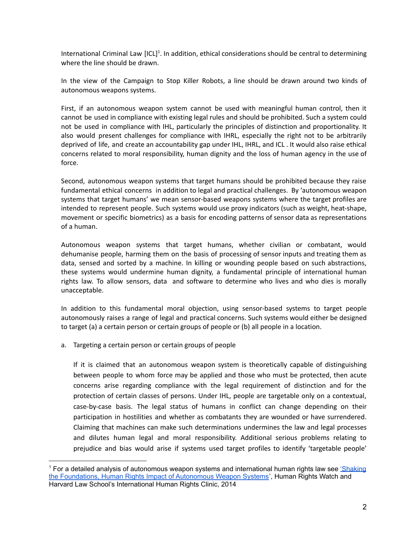International Criminal Law [ICL]<sup>1</sup>. In addition, ethical considerations should be central to determining where the line should be drawn.

In the view of the Campaign to Stop Killer Robots, a line should be drawn around two kinds of autonomous weapons systems.

First, if an autonomous weapon system cannot be used with meaningful human control, then it cannot be used in compliance with existing legal rules and should be prohibited. Such a system could not be used in compliance with IHL, particularly the principles of distinction and proportionality. It also would present challenges for compliance with IHRL, especially the right not to be arbitrarily deprived of life, and create an accountability gap under IHL, IHRL, and ICL . It would also raise ethical concerns related to moral responsibility, human dignity and the loss of human agency in the use of force.

Second, autonomous weapon systems that target humans should be prohibited because they raise fundamental ethical concerns in addition to legal and practical challenges. By 'autonomous weapon systems that target humans' we mean sensor-based weapons systems where the target profiles are intended to represent people. Such systems would use proxy indicators (such as weight, heat-shape, movement or specific biometrics) as a basis for encoding patterns of sensor data as representations of a human.

Autonomous weapon systems that target humans, whether civilian or combatant, would dehumanise people, harming them on the basis of processing of sensor inputs and treating them as data, sensed and sorted by a machine. In killing or wounding people based on such abstractions, these systems would undermine human dignity, a fundamental principle of international human rights law. To allow sensors, data and software to determine who lives and who dies is morally unacceptable.

In addition to this fundamental moral objection, using sensor-based systems to target people autonomously raises a range of legal and practical concerns. Such systems would either be designed to target (a) a certain person or certain groups of people or (b) all people in a location.

a. Targeting a certain person or certain groups of people

If it is claimed that an autonomous weapon system is theoretically capable of distinguishing between people to whom force may be applied and those who must be protected, then acute concerns arise regarding compliance with the legal requirement of distinction and for the protection of certain classes of persons. Under IHL, people are targetable only on a contextual, case-by-case basis. The legal status of humans in conflict can change depending on their participation in hostilities and whether as combatants they are wounded or have surrendered. Claiming that machines can make such determinations undermines the law and legal processes and dilutes human legal and moral responsibility. Additional serious problems relating to prejudice and bias would arise if systems used target profiles to identify 'targetable people'

<sup>&</sup>lt;sup>1</sup> For a detailed analysis of autonomous weapon systems and international human rights law see ['Shaking](https://www.hrw.org/sites/default/files/reports/arms0514_ForUpload_0.pdf) the [Foundations,](https://www.hrw.org/sites/default/files/reports/arms0514_ForUpload_0.pdf) Human Rights Impact of Autonomous Weapon Systems', Human Rights Watch and Harvard Law School's International Human Rights Clinic, 2014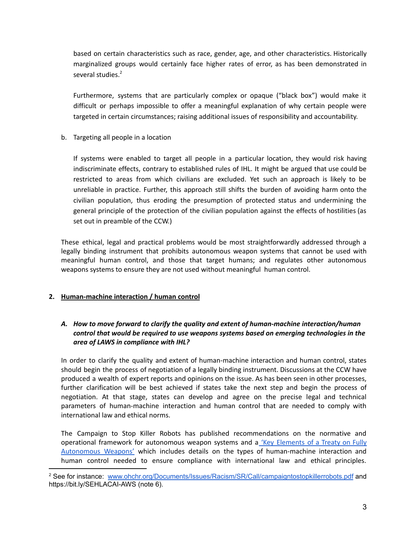based on certain characteristics such as race, gender, age, and other characteristics. Historically marginalized groups would certainly face higher rates of error, as has been demonstrated in several studies.<sup>2</sup>

Furthermore, systems that are particularly complex or opaque ("black box") would make it difficult or perhaps impossible to offer a meaningful explanation of why certain people were targeted in certain circumstances; raising additional issues of responsibility and accountability.

b. Targeting all people in a location

If systems were enabled to target all people in a particular location, they would risk having indiscriminate effects, contrary to established rules of IHL. It might be argued that use could be restricted to areas from which civilians are excluded. Yet such an approach is likely to be unreliable in practice. Further, this approach still shifts the burden of avoiding harm onto the civilian population, thus eroding the presumption of protected status and undermining the general principle of the protection of the civilian population against the effects of hostilities (as set out in preamble of the CCW.)

These ethical, legal and practical problems would be most straightforwardly addressed through a legally binding instrument that prohibits autonomous weapon systems that cannot be used with meaningful human control, and those that target humans; and regulates other autonomous weapons systems to ensure they are not used without meaningful human control.

# **2. Human-machine interaction / human control**

# *A. How to move forward to clarify the quality and extent of human-machine interaction/human control that would be required to use weapons systems based on emerging technologies in the area of LAWS in compliance with IHL?*

In order to clarify the quality and extent of human-machine interaction and human control, states should begin the process of negotiation of a legally binding instrument. Discussions at the CCW have produced a wealth of expert reports and opinions on the issue. As has been seen in other processes, further clarification will be best achieved if states take the next step and begin the process of negotiation. At that stage, states can develop and agree on the precise legal and technical parameters of human-machine interaction and human control that are needed to comply with international law and ethical norms.

The Campaign to Stop Killer Robots has published recommendations on the normative and operational framework for autonomous weapon systems and a 'Key [Elements](https://www.stopkillerrobots.org/wp-content/uploads/2020/04/Key-Elements-of-a-Treaty-on-Fully-Autonomous-WeaponsvAccessible.pdf) of a Treaty on Fully [Autonomous](https://www.stopkillerrobots.org/wp-content/uploads/2020/04/Key-Elements-of-a-Treaty-on-Fully-Autonomous-WeaponsvAccessible.pdf) Weapons' which includes details on the types of human-machine interaction and human control needed to ensure compliance with international law and ethical principles.

<sup>&</sup>lt;sup>2</sup> See for instance: [www.ohchr.org/Documents/Issues/Racism/SR/Call/campaigntostopkillerrobots.pdf](http://www.ohchr.org/Documents/Issues/Racism/SR/Call/campaigntostopkillerrobots.pdf) and <https://bit.ly/SEHLACAI-AWS> (note 6).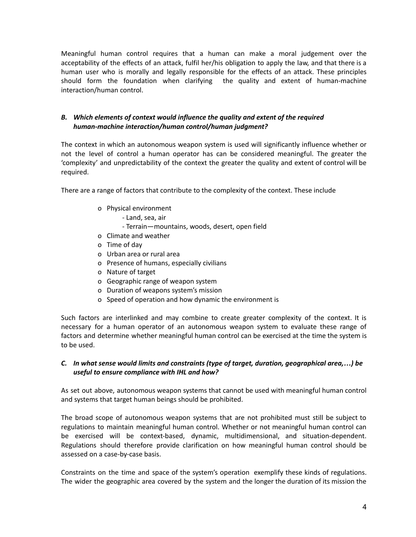Meaningful human control requires that a human can make a moral judgement over the acceptability of the effects of an attack, fulfil her/his obligation to apply the law, and that there is a human user who is morally and legally responsible for the effects of an attack. These principles should form the foundation when clarifying the quality and extent of human-machine interaction/human control.

#### *B. Which elements of context would influence the quality and extent of the required human-machine interaction/human control/human judgment?*

The context in which an autonomous weapon system is used will significantly influence whether or not the level of control a human operator has can be considered meaningful. The greater the 'complexity' and unpredictability of the context the greater the quality and extent of control will be required.

There are a range of factors that contribute to the complexity of the context. These include

- o Physical environment
	- Land, sea, air
	- Terrain—mountains, woods, desert, open field
- o Climate and weather
- o Time of day
- o Urban area or rural area
- o Presence of humans, especially civilians
- o Nature of target
- o Geographic range of weapon system
- o Duration of weapons system's mission
- o Speed of operation and how dynamic the environment is

Such factors are interlinked and may combine to create greater complexity of the context. It is necessary for a human operator of an autonomous weapon system to evaluate these range of factors and determine whether meaningful human control can be exercised at the time the system is to be used.

# *C. In what sense would limits and constraints (type of target, duration, geographical area,…) be useful to ensure compliance with IHL and how?*

As set out above, autonomous weapon systems that cannot be used with meaningful human control and systems that target human beings should be prohibited.

The broad scope of autonomous weapon systems that are not prohibited must still be subject to regulations to maintain meaningful human control. Whether or not meaningful human control can be exercised will be context-based, dynamic, multidimensional, and situation-dependent. Regulations should therefore provide clarification on how meaningful human control should be assessed on a case-by-case basis.

Constraints on the time and space of the system's operation exemplify these kinds of regulations. The wider the geographic area covered by the system and the longer the duration of its mission the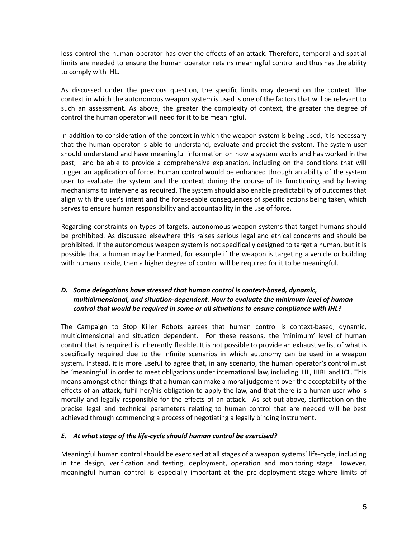less control the human operator has over the effects of an attack. Therefore, temporal and spatial limits are needed to ensure the human operator retains meaningful control and thus has the ability to comply with IHL.

As discussed under the previous question, the specific limits may depend on the context. The context in which the autonomous weapon system is used is one of the factors that will be relevant to such an assessment. As above, the greater the complexity of context, the greater the degree of control the human operator will need for it to be meaningful.

In addition to consideration of the context in which the weapon system is being used, it is necessary that the human operator is able to understand, evaluate and predict the system. The system user should understand and have meaningful information on how a system works and has worked in the past; and be able to provide a comprehensive explanation, including on the conditions that will trigger an application of force. Human control would be enhanced through an ability of the system user to evaluate the system and the context during the course of its functioning and by having mechanisms to intervene as required. The system should also enable predictability of outcomes that align with the user's intent and the foreseeable consequences of specific actions being taken, which serves to ensure human responsibility and accountability in the use of force.

Regarding constraints on types of targets, autonomous weapon systems that target humans should be prohibited. As discussed elsewhere this raises serious legal and ethical concerns and should be prohibited. If the autonomous weapon system is not specifically designed to target a human, but it is possible that a human may be harmed, for example if the weapon is targeting a vehicle or building with humans inside, then a higher degree of control will be required for it to be meaningful.

# *D. Some delegations have stressed that human control is context-based, dynamic, multidimensional, and situation-dependent. How to evaluate the minimum level of human control that would be required in some or all situations to ensure compliance with IHL?*

The Campaign to Stop Killer Robots agrees that human control is context-based, dynamic, multidimensional and situation dependent. For these reasons, the 'minimum' level of human control that is required is inherently flexible. It is not possible to provide an exhaustive list of what is specifically required due to the infinite scenarios in which autonomy can be used in a weapon system. Instead, it is more useful to agree that, in any scenario, the human operator's control must be 'meaningful' in order to meet obligations under international law, including IHL, IHRL and ICL. This means amongst other things that a human can make a moral judgement over the acceptability of the effects of an attack, fulfil her/his obligation to apply the law, and that there is a human user who is morally and legally responsible for the effects of an attack. As set out above, clarification on the precise legal and technical parameters relating to human control that are needed will be best achieved through commencing a process of negotiating a legally binding instrument.

#### *E. At what stage of the life-cycle should human control be exercised?*

Meaningful human control should be exercised at all stages of a weapon systems' life-cycle, including in the design, verification and testing, deployment, operation and monitoring stage. However, meaningful human control is especially important at the pre-deployment stage where limits of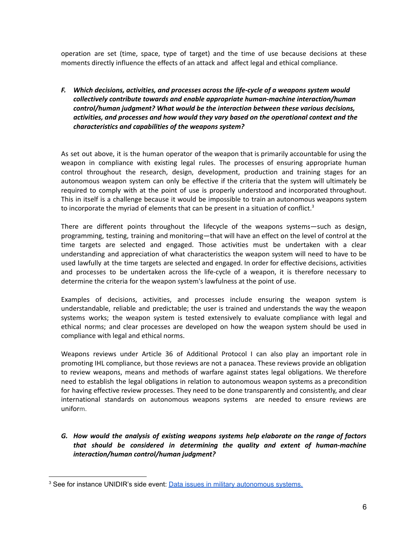operation are set (time, space, type of target) and the time of use because decisions at these moments directly influence the effects of an attack and affect legal and ethical compliance.

# *F. Which decisions, activities, and processes across the life-cycle of a weapons system would collectively contribute towards and enable appropriate human-machine interaction/human control/human judgment? What would be the interaction between these various decisions, activities, and processes and how would they vary based on the operational context and the characteristics and capabilities of the weapons system?*

As set out above, it is the human operator of the weapon that is primarily accountable for using the weapon in compliance with existing legal rules. The processes of ensuring appropriate human control throughout the research, design, development, production and training stages for an autonomous weapon system can only be effective if the criteria that the system will ultimately be required to comply with at the point of use is properly understood and incorporated throughout. This in itself is a challenge because it would be impossible to train an autonomous weapons system to incorporate the myriad of elements that can be present in a situation of conflict.<sup>3</sup>

There are different points throughout the lifecycle of the weapons systems—such as design, programming, testing, training and monitoring—that will have an effect on the level of control at the time targets are selected and engaged. Those activities must be undertaken with a clear understanding and appreciation of what characteristics the weapon system will need to have to be used lawfully at the time targets are selected and engaged. In order for effective decisions, activities and processes to be undertaken across the life-cycle of a weapon, it is therefore necessary to determine the criteria for the weapon system's lawfulness at the point of use.

Examples of decisions, activities, and processes include ensuring the weapon system is understandable, reliable and predictable; the user is trained and understands the way the weapon systems works; the weapon system is tested extensively to evaluate compliance with legal and ethical norms; and clear processes are developed on how the weapon system should be used in compliance with legal and ethical norms.

Weapons reviews under Article 36 of Additional Protocol I can also play an important role in promoting IHL compliance, but those reviews are not a panacea. These reviews provide an obligation to review weapons, means and methods of warfare against states legal obligations. We therefore need to establish the legal obligations in relation to autonomous weapon systems as a precondition for having effective review processes. They need to be done transparently and consistently, and clear international standards on autonomous weapons systems are needed to ensure reviews are uniform.

*G. How would the analysis of existing weapons systems help elaborate on the range of factors that should be considered in determining the quality and extent of human-machine interaction/human control/human judgment?*

<sup>&</sup>lt;sup>3</sup> See for instance UNIDIR's side event: **Data issues in military [autonomous](https://unidir.org/events/known-unknowns-data-issues-and-military-autonomous-systems) systems**.